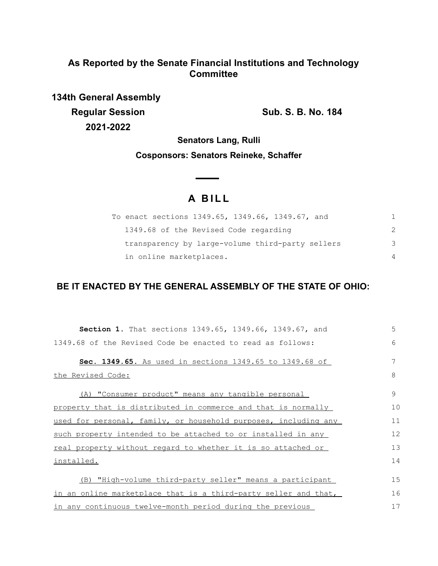## **As Reported by the Senate Financial Institutions and Technology Committee**

**134th General Assembly Regular Session Sub. S. B. No. 184 2021-2022**

**Senators Lang, Rulli**

### **Cosponsors: Senators Reineke, Schaffer**

# **A BILL**

| To enact sections 1349.65, 1349.66, 1349.67, and |   |
|--------------------------------------------------|---|
| 1349.68 of the Revised Code regarding            |   |
| transparency by large-volume third-party sellers | 3 |
| in online marketplaces.                          |   |

### **BE IT ENACTED BY THE GENERAL ASSEMBLY OF THE STATE OF OHIO:**

| Section 1. That sections 1349.65, 1349.66, 1349.67, and         | 5  |
|-----------------------------------------------------------------|----|
| 1349.68 of the Revised Code be enacted to read as follows:      | 6  |
| Sec. 1349.65. As used in sections 1349.65 to 1349.68 of         | 7  |
| the Revised Code:                                               | 8  |
| (A) "Consumer product" means any tangible personal              | 9  |
| property that is distributed in commerce and that is normally   | 10 |
| used for personal, family, or household purposes, including any | 11 |
| such property intended to be attached to or installed in any    | 12 |
| real property without regard to whether it is so attached or    | 13 |
| installed.                                                      | 14 |
| (B) "High-volume third-party seller" means a participant        | 15 |
| in an online marketplace that is a third-party seller and that, | 16 |
| in any continuous twelve-month period during the previous       | 17 |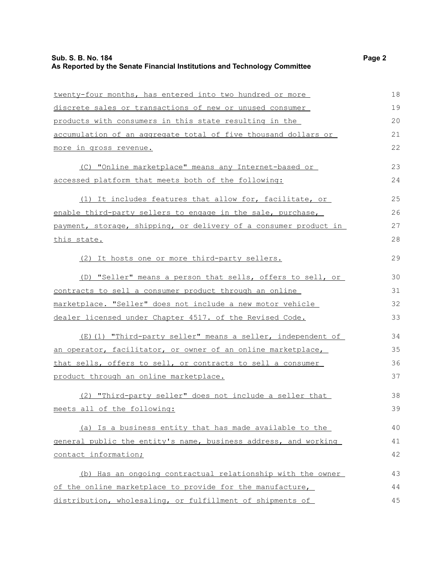### **Sub. S. B. No. 184** Page 2 **As Reported by the Senate Financial Institutions and Technology Committee**

| twenty-four months, has entered into two hundred or more         | 18 |
|------------------------------------------------------------------|----|
| discrete sales or transactions of new or unused consumer         | 19 |
| products with consumers in this state resulting in the           | 20 |
| accumulation of an aggregate total of five thousand dollars or   | 21 |
| more in gross revenue.                                           | 22 |
| (C) "Online marketplace" means any Internet-based or             | 23 |
| accessed platform that meets both of the following:              | 24 |
| (1) It includes features that allow for, facilitate, or          | 25 |
| enable third-party sellers to engage in the sale, purchase,      | 26 |
| payment, storage, shipping, or delivery of a consumer product in | 27 |
| this state.                                                      | 28 |
| (2) It hosts one or more third-party sellers.                    | 29 |
| (D) "Seller" means a person that sells, offers to sell, or       | 30 |
| contracts to sell a consumer product through an online           | 31 |
| marketplace. "Seller" does not include a new motor vehicle       | 32 |
| dealer licensed under Chapter 4517. of the Revised Code.         | 33 |
| (E)(1) "Third-party seller" means a seller, independent of       | 34 |
| an operator, facilitator, or owner of an online marketplace,     | 35 |
| that sells, offers to sell, or contracts to sell a consumer      | 36 |
| product through an online marketplace.                           | 37 |
| (2) "Third-party seller" does not include a seller that          | 38 |
| meets all of the following:                                      | 39 |
| (a) Is a business entity that has made available to the          | 40 |
| general public the entity's name, business address, and working  | 41 |
| contact information;                                             | 42 |
| (b) Has an ongoing contractual relationship with the owner       | 43 |
| of the online marketplace to provide for the manufacture,        | 44 |
| distribution, wholesaling, or fulfillment of shipments of        | 45 |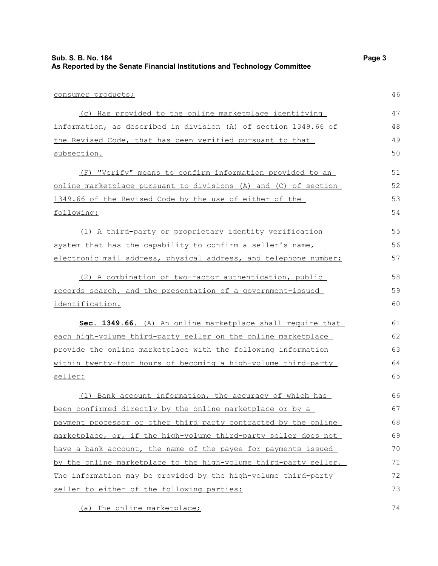| As Reported by the Senate Financial Institutions and Technology Committee |    |
|---------------------------------------------------------------------------|----|
| consumer products;                                                        | 46 |
| (c) Has provided to the online marketplace identifying                    | 47 |
| information, as described in division (A) of section 1349.66 of           | 48 |
| the Revised Code, that has been verified pursuant to that                 | 49 |
| subsection.                                                               | 50 |
| (F) "Verify" means to confirm information provided to an                  | 51 |
| online marketplace pursuant to divisions (A) and (C) of section           | 52 |
| 1349.66 of the Revised Code by the use of either of the                   | 53 |
| following:                                                                | 54 |
| (1) A third-party or proprietary identity verification                    | 55 |
| system that has the capability to confirm a seller's name,                | 56 |
| electronic mail address, physical address, and telephone number;          | 57 |
| (2) A combination of two-factor authentication, public                    | 58 |
| records search, and the presentation of a government-issued               | 59 |
| identification.                                                           | 60 |
| Sec. 1349.66. (A) An online marketplace shall require that                | 61 |
| each high-volume third-party seller on the online marketplace             | 62 |
| provide the online marketplace with the following information             | 63 |
| within twenty-four hours of becoming a high-volume third-party            | 64 |
| <u>seller:</u>                                                            | 65 |
| (1) Bank account information, the accuracy of which has                   | 66 |
| been confirmed directly by the online marketplace or by a                 | 67 |
| payment processor or other third party contracted by the online           | 68 |
| marketplace, or, if the high-volume third-party seller does not           | 69 |
| have a bank account, the name of the payee for payments issued            | 70 |
| by the online marketplace to the high-volume third-party seller.          | 71 |
| The information may be provided by the high-volume third-party            | 72 |
| seller to either of the following parties:                                | 73 |

**Sub. S. B. No. 184** Page 3

(a) The online marketplace;

74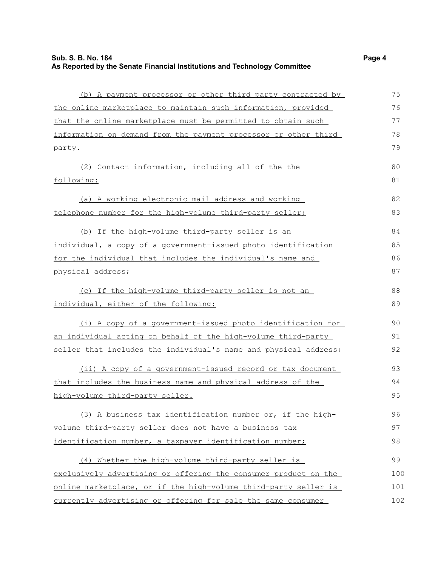(b) A payment processor or other third party contracted by the online marketplace to maintain such information, provided that the online marketplace must be permitted to obtain such information on demand from the payment processor or other third party. (2) Contact information, including all of the the following: (a) A working electronic mail address and working telephone number for the high-volume third-party seller; (b) If the high-volume third-party seller is an individual, a copy of a government-issued photo identification for the individual that includes the individual's name and physical address; (c) If the high-volume third-party seller is not an individual, either of the following: (i) A copy of a government-issued photo identification for an individual acting on behalf of the high-volume third-party seller that includes the individual's name and physical address; (ii) A copy of a government-issued record or tax document that includes the business name and physical address of the high-volume third-party seller. (3) A business tax identification number or, if the highvolume third-party seller does not have a business tax identification number, a taxpayer identification number; (4) Whether the high-volume third-party seller is exclusively advertising or offering the consumer product on the online marketplace, or if the high-volume third-party seller is 75 76 77 78 79 80 81 82 83 84 85 86 87 88 89 90 91 92 93 94 95 96 97 98 99 100 101

currently advertising or offering for sale the same consumer

102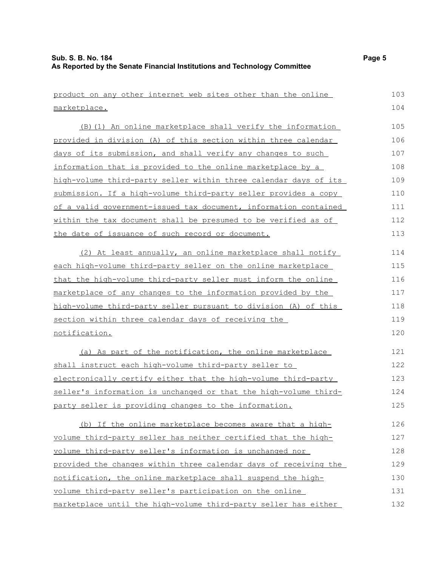| product on any other internet web sites other than the online    | 103 |
|------------------------------------------------------------------|-----|
| marketplace.                                                     | 104 |
| (B) (1) An online marketplace shall verify the information       | 105 |
| provided in division (A) of this section within three calendar   | 106 |
| days of its submission, and shall verify any changes to such     | 107 |
| information that is provided to the online marketplace by a      | 108 |
| high-volume third-party seller within three calendar days of its | 109 |
| submission. If a high-volume third-party seller provides a copy  | 110 |
| of a valid government-issued tax document, information contained | 111 |
| within the tax document shall be presumed to be verified as of   | 112 |
| the date of issuance of such record or document.                 | 113 |
| (2) At least annually, an online marketplace shall notify        | 114 |
| each high-volume third-party seller on the online marketplace    | 115 |
| that the high-volume third-party seller must inform the online   | 116 |
| marketplace of any changes to the information provided by the    | 117 |
| high-volume third-party seller pursuant to division (A) of this  | 118 |
| section within three calendar days of receiving the              | 119 |
| notification.                                                    | 120 |
| (a) As part of the notification, the online marketplace          | 121 |
| shall instruct each high-volume third-party seller to            | 122 |
| electronically certify either that the high-volume third-party   | 123 |
| seller's information is unchanged or that the high-volume third- | 124 |
| party seller is providing changes to the information.            | 125 |
| (b) If the online marketplace becomes aware that a high-         | 126 |
| volume third-party seller has neither certified that the high-   | 127 |
| volume third-party seller's information is unchanged nor         | 128 |
| provided the changes within three calendar days of receiving the | 129 |
| notification, the online marketplace shall suspend the high-     | 130 |
| volume third-party seller's participation on the online          | 131 |
| marketplace until the high-volume third-party seller has either  | 132 |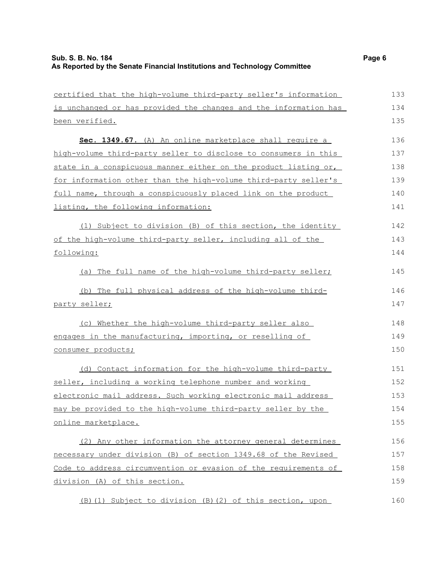| certified that the high-volume third-party seller's information  | 133 |
|------------------------------------------------------------------|-----|
| is unchanged or has provided the changes and the information has | 134 |
| been verified.                                                   | 135 |
| Sec. 1349.67. (A) An online marketplace shall require a          | 136 |
| high-volume third-party seller to disclose to consumers in this  | 137 |
| state in a conspicuous manner either on the product listing or,  | 138 |
| for information other than the high-volume third-party seller's  | 139 |
| full name, through a conspicuously placed link on the product    | 140 |
| listing, the following information:                              | 141 |
| (1) Subject to division (B) of this section, the identity        | 142 |
| of the high-volume third-party seller, including all of the      | 143 |
| following:                                                       | 144 |
| (a) The full name of the high-volume third-party seller;         | 145 |
| (b) The full physical address of the high-volume third-          | 146 |
| party seller;                                                    | 147 |
| (c) Whether the high-volume third-party seller also              | 148 |
| engages in the manufacturing, importing, or reselling of         | 149 |
| consumer products;                                               | 150 |
| (d) Contact information for the high-volume third-party          | 151 |
| seller, including a working telephone number and working         | 152 |
| electronic mail address. Such working electronic mail address    | 153 |
| may be provided to the high-volume third-party seller by the     | 154 |
| online marketplace.                                              | 155 |
| (2) Any other information the attorney general determines        | 156 |
| necessary under division (B) of section 1349.68 of the Revised   | 157 |
| Code to address circumvention or evasion of the requirements of  | 158 |
| division (A) of this section.                                    | 159 |
| (B) (1) Subject to division (B) (2) of this section, upon        | 160 |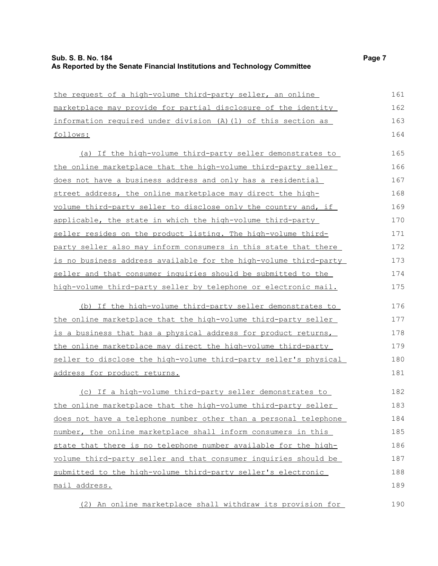| the request of a high-volume third-party seller, an online            | 161 |
|-----------------------------------------------------------------------|-----|
| marketplace may provide for partial disclosure of the identity        | 162 |
| information required under division (A) (1) of this section as        | 163 |
| follows:                                                              | 164 |
| (a) If the high-volume third-party seller demonstrates to             | 165 |
| the online marketplace that the high-volume third-party seller        | 166 |
| does not have a business address and only has a residential           | 167 |
| street address, the online marketplace may direct the high-           | 168 |
| volume third-party seller to disclose only the country and, if        | 169 |
| applicable, the state in which the high-volume third-party            | 170 |
| seller resides on the product listing. The high-volume third-         | 171 |
| party seller also may inform consumers in this state that there       | 172 |
| is no business address available for the high-volume third-party      | 173 |
| seller and that consumer inquiries should be submitted to the         | 174 |
| high-volume third-party seller by telephone or electronic mail.       | 175 |
| (b) If the high-volume third-party seller demonstrates to             | 176 |
| <u>the online marketplace that the high-volume third-party seller</u> | 177 |
| is a business that has a physical address for product returns,        | 178 |
| the online marketplace may direct the high-volume third-party         | 179 |
| seller to disclose the high-volume third-party seller's physical      | 180 |
| address for product returns.                                          | 181 |
| (c) If a high-volume third-party seller demonstrates to               | 182 |
| the online marketplace that the high-volume third-party seller        | 183 |
| does not have a telephone number other than a personal telephone      | 184 |
| number, the online marketplace shall inform consumers in this         | 185 |
| state that there is no telephone number available for the high-       | 186 |
| volume third-party seller and that consumer inquiries should be       | 187 |
| submitted to the high-volume third-party seller's electronic          | 188 |
| mail address.                                                         | 189 |
|                                                                       |     |

(2) An online marketplace shall withdraw its provision for 190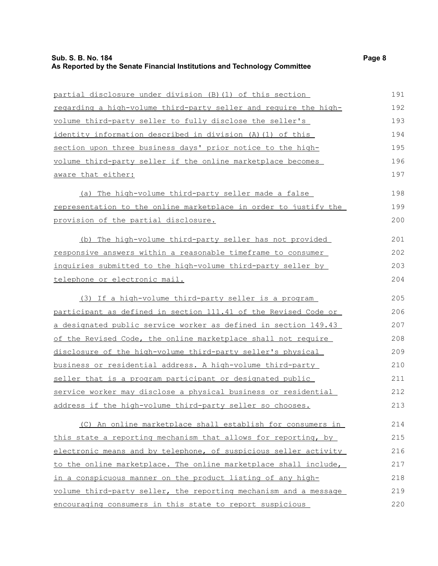#### **Sub. S. B. No. 184 Page 8 As Reported by the Senate Financial Institutions and Technology Committee**

volume third-party seller if the online marketplace becomes

aware that either:

partial disclosure under division (B)(1) of this section regarding a high-volume third-party seller and require the highvolume third-party seller to fully disclose the seller's identity information described in division (A)(1) of this section upon three business days' prior notice to the high-

(a) The high-volume third-party seller made a false representation to the online marketplace in order to justify the provision of the partial disclosure.

(b) The high-volume third-party seller has not provided responsive answers within a reasonable timeframe to consumer inquiries submitted to the high-volume third-party seller by telephone or electronic mail. 201 202 203 204

(3) If a high-volume third-party seller is a program participant as defined in section 111.41 of the Revised Code or a designated public service worker as defined in section 149.43 of the Revised Code, the online marketplace shall not require disclosure of the high-volume third-party seller's physical business or residential address. A high-volume third-party seller that is a program participant or designated public service worker may disclose a physical business or residential address if the high-volume third-party seller so chooses. 205 206 207 208 209 210 211 212 213

(C) An online marketplace shall establish for consumers in this state a reporting mechanism that allows for reporting, by electronic means and by telephone, of suspicious seller activity to the online marketplace. The online marketplace shall include, in a conspicuous manner on the product listing of any highvolume third-party seller, the reporting mechanism and a message encouraging consumers in this state to report suspicious 214 215 216 217 218 219 220

198 199 200